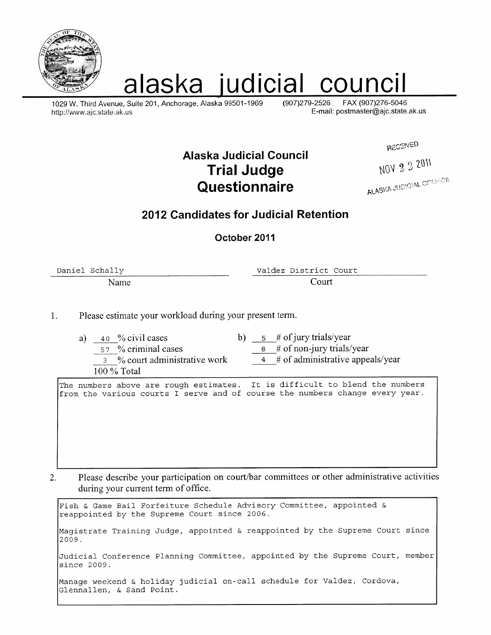

# alaska judicial council

1029 W. Third Avenue, Suite 201, Anchorage, Alaska 99501-1969 http://www.ajc.state.ak.us

 $(907)279 - 2526$ FAX (907)276-5046 E-mail: postmaster@ajc.state.ak.us

**RECEIVED** 

NOV 2 2 2011

### **Alaska Judicial Council Trial Judge** Questionnaire

ALASKA JUDICIAL COUNCIL

### 2012 Candidates for Judicial Retention

October 2011

Daniel Schally

Name

Valdez District Court Court

Please estimate your workload during your present term.  $\mathbf{1}$ .

> a)  $40\%$  civil cases b)  $5 \#$  of jury trials/year 8 # of non-jury trials/year 57 % criminal cases  $4 \#$  of administrative appeals/year 3 % court administrative work 100 % Total

The numbers above are rough estimates. It is difficult to blend the numbers from the various courts I serve and of course the numbers change every year.

Please describe your participation on court/bar committees or other administrative activities  $2.$ during your current term of office.

Fish & Game Bail Forfeiture Schedule Advisory Committee, appointed & reappointed by the Supreme Court since 2006. Magistrate Training Judge, appointed & reappointed by the Supreme Court since 2009. Judicial Conference Planning Committee, appointed by the Supreme Court, member since 2009. Manage weekend & holiday judicial on-call schedule for Valdez, Cordova, Glennallen, & Sand Point.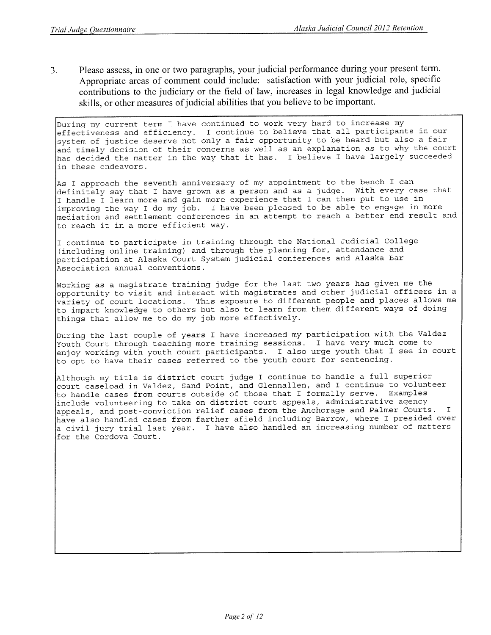Please assess, in one or two paragraphs, your judicial performance during your present term.  $3<sub>1</sub>$ Appropriate areas of comment could include: satisfaction with your judicial role, specific contributions to the judiciary or the field of law, increases in legal knowledge and judicial skills, or other measures of judicial abilities that you believe to be important.

During my current term I have continued to work very hard to increase my effectiveness and efficiency. I continue to believe that all participants in our system of justice deserve not only a fair opportunity to be heard but also a fair and timely decision of their concerns as well as an explanation as to why the court has decided the matter in the way that it has. I believe I have largely succeeded in these endeavors.

As I approach the seventh anniversary of my appointment to the bench I can definitely say that I have grown as a person and as a judge. With every case that I handle I learn more and gain more experience that I can then put to use in improving the way I do my job. I have been pleased to be able to engage in more mediation and settlement conferences in an attempt to reach a better end result and to reach it in a more efficient way.

I continue to participate in training through the National Judicial College (including online training) and through the planning for, attendance and participation at Alaska Court System judicial conferences and Alaska Bar Association annual conventions.

Working as a magistrate training judge for the last two years has given me the opportunity to visit and interact with magistrates and other judicial officers in a variety of court locations. This exposure to different people and places allows me to impart knowledge to others but also to learn from them different ways of doing things that allow me to do my job more effectively.

During the last couple of years I have increased my participation with the Valdez Youth Court through teaching more training sessions. I have very much come to enjoy working with youth court participants. I also urge youth that I see in court to opt to have their cases referred to the youth court for sentencing.

Although my title is district court judge I continue to handle a full superior court caseload in Valdez, Sand Point, and Glennallen, and I continue to volunteer to handle cases from courts outside of those that I formally serve. Examples include volunteering to take on district court appeals, administrative agency appeals, and post-conviction relief cases from the Anchorage and Palmer Courts. T. have also handled cases from farther afield including Barrow, where I presided over a civil jury trial last year. I have also handled an increasing number of matters for the Cordova Court.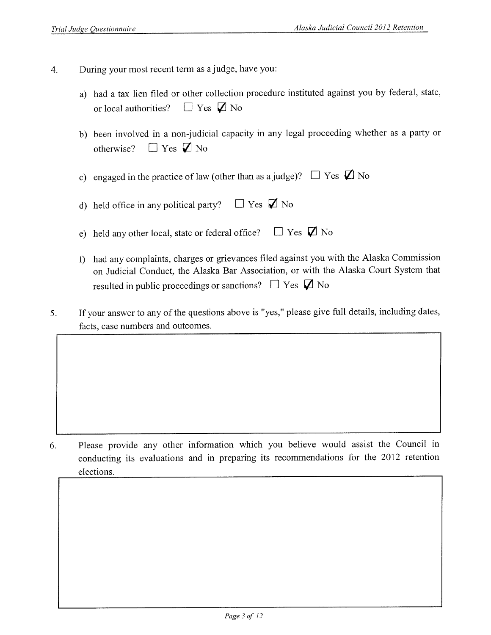- During your most recent term as a judge, have you:  $\overline{4}$ .
	- a) had a tax lien filed or other collection procedure instituted against you by federal, state,  $\Box$  Yes  $\Box$  No or local authorities?
	- b) been involved in a non-judicial capacity in any legal proceeding whether as a party or otherwise?  $\Box$  Yes  $\Box$  No
	- c) engaged in the practice of law (other than as a judge)?  $\Box$  Yes  $\Box$  No
	- d) held office in any political party?  $\Box$  Yes  $\Box$  No
	- $\Box$  Yes  $\Box$  No e) held any other local, state or federal office?
	- f) had any complaints, charges or grievances filed against you with the Alaska Commission on Judicial Conduct, the Alaska Bar Association, or with the Alaska Court System that resulted in public proceedings or sanctions?  $\Box$  Yes  $\Box$  No
- If your answer to any of the questions above is "yes," please give full details, including dates, 5. facts, case numbers and outcomes.

Please provide any other information which you believe would assist the Council in 6. conducting its evaluations and in preparing its recommendations for the 2012 retention elections.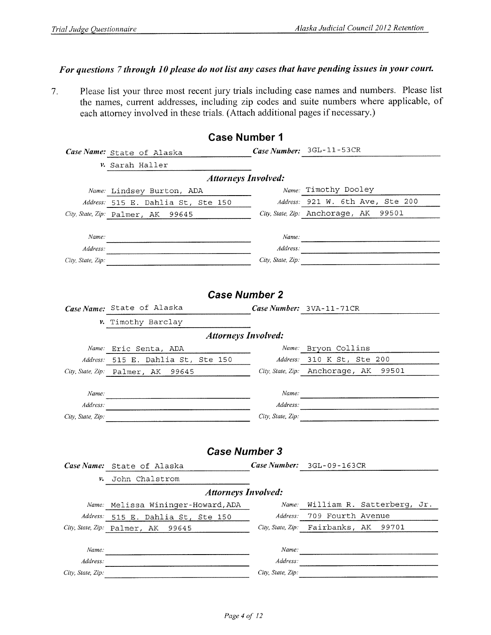### For questions 7 through 10 please do not list any cases that have pending issues in your court.

Please list your three most recent jury trials including case names and numbers. Please list  $7.$ the names, current addresses, including zip codes and suite numbers where applicable, of each attorney involved in these trials. (Attach additional pages if necessary.)

|                   | <b>Case Number 1</b>                  |                   |                                                                                                                                                                                                                                    |
|-------------------|---------------------------------------|-------------------|------------------------------------------------------------------------------------------------------------------------------------------------------------------------------------------------------------------------------------|
|                   | Case Name: State of Alaska            |                   | Case Number: 3GL-11-53CR                                                                                                                                                                                                           |
|                   | v. Sarah Haller                       |                   |                                                                                                                                                                                                                                    |
|                   | <b>Attorneys Involved:</b>            |                   |                                                                                                                                                                                                                                    |
|                   | Name: Lindsey Burton, ADA             |                   | Name. Timothy Dooley                                                                                                                                                                                                               |
|                   | Address: 515 E. Dahlia St, Ste 150    |                   | Address: 921 W. 6th Ave, Ste 200                                                                                                                                                                                                   |
|                   | City, State, Zip: Palmer, AK 99645    |                   | City, State, Zip: Anchorage, AK<br>99501                                                                                                                                                                                           |
|                   |                                       |                   |                                                                                                                                                                                                                                    |
| Name:             |                                       |                   | Name:                                                                                                                                                                                                                              |
| Address:          |                                       |                   | Address:                                                                                                                                                                                                                           |
| City, State, Zip. |                                       | City, State, Zip: | $\overline{a}$ . The components of the contract of the contract of the contract of the contract of the contract of the contract of the contract of the contract of the contract of the contract of the contract of the contract of |
|                   |                                       |                   |                                                                                                                                                                                                                                    |
|                   |                                       |                   |                                                                                                                                                                                                                                    |
|                   | <b>Case Number 2</b>                  |                   |                                                                                                                                                                                                                                    |
|                   | Case Name: State of Alaska            |                   | Case Number: $3VA-11-71CR$                                                                                                                                                                                                         |
|                   | v. Timothy Barclay                    |                   |                                                                                                                                                                                                                                    |
|                   | <b>Attorneys Involved:</b>            |                   |                                                                                                                                                                                                                                    |
|                   | Name: Eric Senta, ADA                 |                   | Name: Bryon Collins                                                                                                                                                                                                                |
|                   | Address: 515 E. Dahlia St, Ste 150    |                   | Address. 310 K St, Ste 200                                                                                                                                                                                                         |
|                   | City, State, Zip: Palmer, AK 99645    |                   | City, State, Zip: Anchorage, AK<br>99501                                                                                                                                                                                           |
|                   |                                       |                   |                                                                                                                                                                                                                                    |
| Name:             |                                       | Name:             |                                                                                                                                                                                                                                    |
| Address.          |                                       | Address:          |                                                                                                                                                                                                                                    |
| City, State, Zip. |                                       | City, State, Zip: | <u> 1980 - Johann Stein, fransk politik (* 1902)</u>                                                                                                                                                                               |
|                   |                                       |                   |                                                                                                                                                                                                                                    |
|                   |                                       |                   |                                                                                                                                                                                                                                    |
|                   | <b>Case Number 3</b>                  |                   |                                                                                                                                                                                                                                    |
|                   | Case Name: State of Alaska            |                   | Case Number: 3GL-09-163CR                                                                                                                                                                                                          |
| ν.                | John Chalstrom                        |                   |                                                                                                                                                                                                                                    |
|                   | <b>Attorneys Involved:</b>            |                   |                                                                                                                                                                                                                                    |
|                   | Name: Melissa Wininger-Howard, ADA    | Name:             | William R. Satterberg,<br>Jr.                                                                                                                                                                                                      |
| Address:          | 515 E. Dahlia St, Ste 150             | Address:          | 709 Fourth Avenue                                                                                                                                                                                                                  |
|                   | City, State, Zip: Palmer, AK<br>99645 | City, State, Zip: | Fairbanks,<br>AК<br>99701                                                                                                                                                                                                          |
|                   |                                       |                   |                                                                                                                                                                                                                                    |
| Name:             |                                       | Name:             |                                                                                                                                                                                                                                    |
| Address:          |                                       | Address:          |                                                                                                                                                                                                                                    |
| City, State, Zip: |                                       | City, State, Zip: |                                                                                                                                                                                                                                    |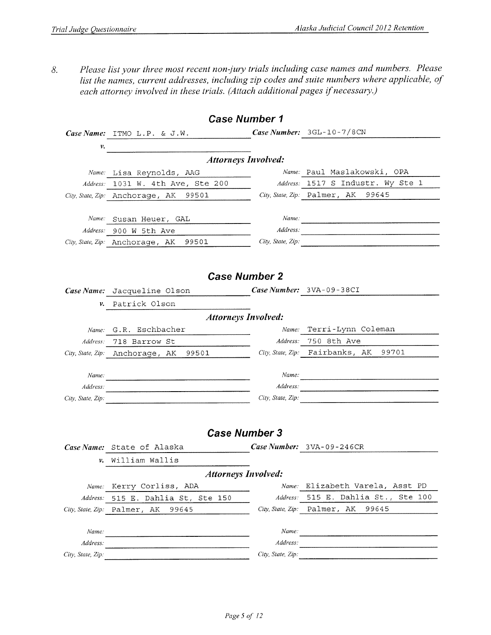Please list your three most recent non-jury trials including case names and numbers. Please 8. list the names, current addresses, including zip codes and suite numbers where applicable, of each attorney involved in these trials. (Attach additional pages if necessary.)

|                   | <b>Case Number 1</b>                     |                   |                                          |  |  |  |  |  |  |  |  |
|-------------------|------------------------------------------|-------------------|------------------------------------------|--|--|--|--|--|--|--|--|
|                   | Case Name: ITMO L.P. & J.W.              |                   | Case Number: 3GL-10-7/8CN                |  |  |  |  |  |  |  |  |
| ν.                |                                          |                   |                                          |  |  |  |  |  |  |  |  |
|                   | <b>Attorneys Involved:</b>               |                   |                                          |  |  |  |  |  |  |  |  |
|                   | Name: Lisa Reynolds, AAG                 |                   | Name: Paul Maslakowski, OPA              |  |  |  |  |  |  |  |  |
|                   | Address: 1031 W. 4th Ave, Ste 200        |                   | Address: 1517 S Industr. Wy Ste 1        |  |  |  |  |  |  |  |  |
|                   | City, State, Zip: Anchorage, AK 99501    |                   | City, State, Zip: Palmer, AK 99645       |  |  |  |  |  |  |  |  |
|                   |                                          |                   |                                          |  |  |  |  |  |  |  |  |
| Name:             | Susan Heuer, GAL                         | Name:             |                                          |  |  |  |  |  |  |  |  |
|                   | Address: 900 W 5th Ave                   | Address:          |                                          |  |  |  |  |  |  |  |  |
|                   | City, State, Zip: Anchorage, AK<br>99501 | City, State, Zip: |                                          |  |  |  |  |  |  |  |  |
|                   |                                          |                   |                                          |  |  |  |  |  |  |  |  |
|                   |                                          |                   |                                          |  |  |  |  |  |  |  |  |
|                   | <b>Case Number 2</b>                     |                   |                                          |  |  |  |  |  |  |  |  |
|                   | Case Name: Jacqueline Olson              |                   | Case Number: $3VA-09-38CI$               |  |  |  |  |  |  |  |  |
| ν.                | Patrick Olson                            |                   |                                          |  |  |  |  |  |  |  |  |
|                   | <b>Attorneys Involved:</b>               |                   |                                          |  |  |  |  |  |  |  |  |
| Name:             | G.R. Eschbacher                          | Name:             | Terri-Lynn Coleman                       |  |  |  |  |  |  |  |  |
| Address:          | 718 Barrow St                            | Address:          | 750 8th Ave                              |  |  |  |  |  |  |  |  |
|                   | 99501<br>City, State, Zip: Anchorage, AK |                   | City, State, Zip: Fairbanks, AK<br>99701 |  |  |  |  |  |  |  |  |
|                   |                                          |                   |                                          |  |  |  |  |  |  |  |  |
| Name:             |                                          | Name:             |                                          |  |  |  |  |  |  |  |  |
| Address:          |                                          | Address:          |                                          |  |  |  |  |  |  |  |  |
| City, State, Zip: |                                          |                   | City, State, Zip:                        |  |  |  |  |  |  |  |  |
|                   |                                          |                   |                                          |  |  |  |  |  |  |  |  |
|                   |                                          |                   |                                          |  |  |  |  |  |  |  |  |
|                   | <b>Case Number 3</b>                     |                   |                                          |  |  |  |  |  |  |  |  |
|                   | Case Name: State of Alaska               |                   | Case Number: 3VA-09-246CR                |  |  |  |  |  |  |  |  |
| ν.                | William Wallis                           |                   |                                          |  |  |  |  |  |  |  |  |
|                   | <b>Attorneys Involved:</b>               |                   |                                          |  |  |  |  |  |  |  |  |
| Name:             | Kerry Corliss, ADA                       | Name:             | Elizabeth Varela, Asst PD                |  |  |  |  |  |  |  |  |
| Address:          | 515 E. Dahlia St, Ste 150                | Address:          | 515 E. Dahlia St., Ste 100               |  |  |  |  |  |  |  |  |
| City, State, Zip. | Palmer, AK<br>99645                      | City, State, Zip: | Palmer, AK<br>99645                      |  |  |  |  |  |  |  |  |
|                   |                                          |                   |                                          |  |  |  |  |  |  |  |  |
| Name:             |                                          | Name:             |                                          |  |  |  |  |  |  |  |  |
| Address:          |                                          | Address:          |                                          |  |  |  |  |  |  |  |  |
| City, State, Zip: |                                          | City, State, Zip: |                                          |  |  |  |  |  |  |  |  |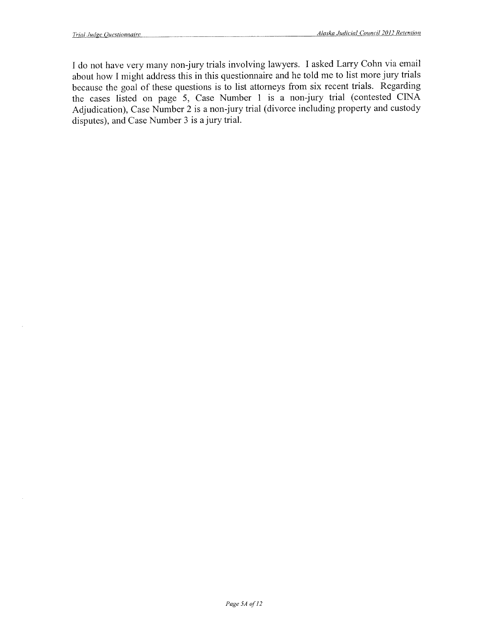I do not have very many non-jury trials involving lawyers. I asked Larry Cohn via email about how I might address this in this questionnaire and he told me to list more jury trials because the goal of these questions is to list attorneys from six recent trials. Regarding the cases listed on page 5, Case Number 1 is a non-jury trial (contested CINA Adjudication), Case Number  $2$  is a non-jury trial (divorce including property and custody disputes), and Case Number 3 is a jury trial.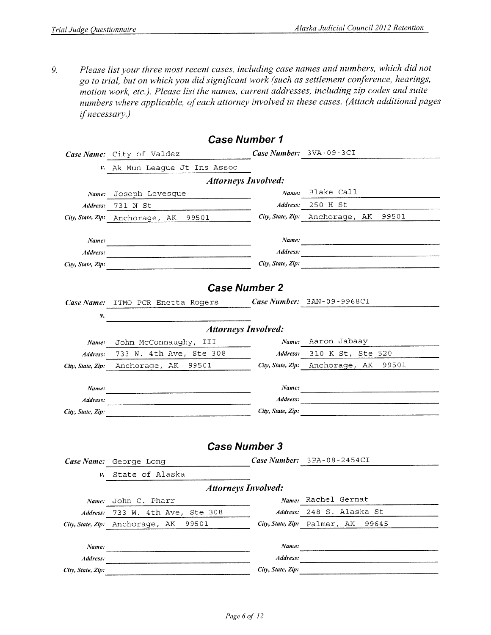Please list your three most recent cases, including case names and numbers, which did not 9. go to trial, but on which you did significant work (such as settlement conference, hearings, motion work, etc.). Please list the names, current addresses, including zip codes and suite numbers where applicable, of each attorney involved in these cases. (Attach additional pages if necessary.)

|                   | <b>Case Number 1</b>                                          |                   |                                       |
|-------------------|---------------------------------------------------------------|-------------------|---------------------------------------|
|                   | Case Name: City of Valdez                                     |                   | Case Number: 3VA-09-3CI               |
| v.                | Ak Mun League Jt Ins Assoc                                    |                   |                                       |
|                   | <b>Attorneys Involved:</b>                                    |                   |                                       |
|                   | Name: Joseph Levesque                                         | Name:             | Blake Call                            |
| Address:          | 731 N St                                                      | Address:          | 250 H St                              |
|                   | City, State, Zip: Anchorage, AK 99501                         |                   | City, State, Zip: Anchorage, AK 99501 |
|                   |                                                               |                   |                                       |
| Name:             |                                                               | Name:             |                                       |
| Address:          | <u> 1980 - Januari Lander, amerikansk politiker (d. 1980)</u> | Address:          |                                       |
| City, State, Zip: |                                                               | City, State, Zip: |                                       |
|                   |                                                               |                   |                                       |
|                   | <b>Case Number 2</b>                                          |                   |                                       |
|                   | Case Name: ITMO PCR Enetta Rogers                             |                   | Case Number: 3AN-09-9968CI            |
| v.                |                                                               |                   |                                       |
|                   | <b>Attorneys Involved:</b>                                    |                   |                                       |
| Name:             | John McConnaughy, III                                         | Name:             | Aaron Jabaay                          |
| Address:          | 733 W. 4th Ave, Ste 308                                       | Address:          | 310 K St, Ste 520                     |
|                   | 99501<br>City, State, Zip: Anchorage, AK                      |                   | City, State, Zip: Anchorage, AK 99501 |
|                   |                                                               |                   |                                       |
| Name:             |                                                               | Name:             |                                       |
| Address:          |                                                               | Address:          |                                       |
| City, State, Zip: |                                                               | City, State, Zip: |                                       |
|                   |                                                               |                   |                                       |
|                   |                                                               |                   |                                       |
|                   | <b>Case Number 3</b>                                          |                   |                                       |
|                   | Case Name: George Long                                        |                   | Case Number: 3PA-08-2454CI            |
| ν.                | State of Alaska                                               |                   |                                       |
|                   | <b>Attorneys Involved:</b>                                    |                   |                                       |
|                   | Name: John C. Pharr                                           | Name:             | Rachel Gernat                         |
| Address:          | 733 W. 4th Ave, Ste 308                                       | Address:          | 248 S. Alaska St                      |
| City, State, Zip: | Anchorage, AK<br>99501                                        |                   | City, State, Zip: Palmer, AK<br>99645 |
|                   |                                                               |                   |                                       |
| Name:             |                                                               | Name:             |                                       |
| Address:          |                                                               | Address:          |                                       |
| City, State, Zip: |                                                               | City, State, Zip: |                                       |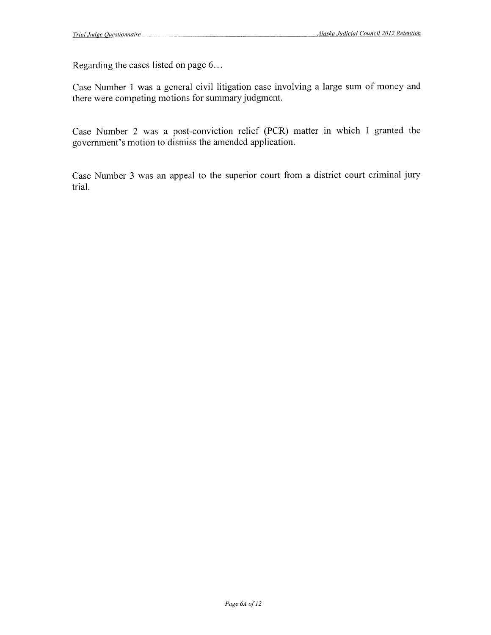Regarding the cases listed on page 6...

Case Number 1 was a general civil litigation case involving a large sum of money and there were competing motions for summary judgment.

Case Number 2 was a post-conviction relief (PCR) matter in which I granted the government's motion to dismiss the amended application.

Case Number 3 was an appeal to the superior court from a district court criminal jury trial.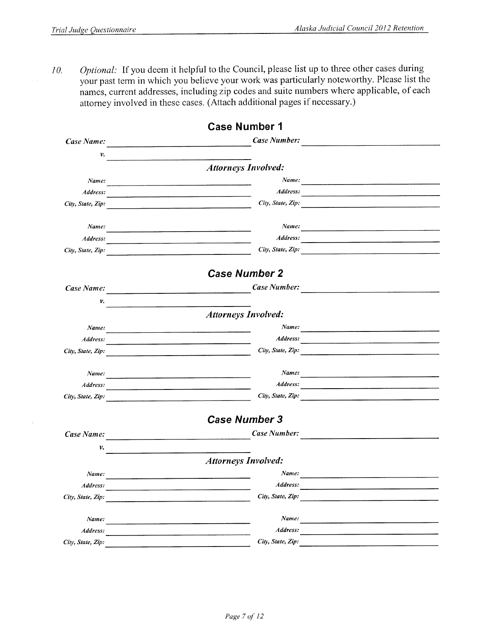$\bar{z}$ 

Optional: If you deem it helpful to the Council, please list up to three other cases during  $10.$ your past term in which you believe your work was particularly noteworthy. Please list the names, current addresses, including zip codes and suite numbers where applicable, of each attorney involved in these cases. (Attach additional pages if necessary.)

|                   | <b>Case Number 1</b>                                                                                                                    |          |
|-------------------|-----------------------------------------------------------------------------------------------------------------------------------------|----------|
| Case Name:        | Case Number:<br>.<br>Allinguage – a and the complete property in the complete of the complete of the complete property and the complete |          |
| ν.                |                                                                                                                                         |          |
|                   | <b>Attorneys Involved:</b>                                                                                                              |          |
| Name:             |                                                                                                                                         | Name:    |
| Address:          | <u> 2000 - Maria Alemania, matematik matematik (h. 1882).</u>                                                                           |          |
| City, State, Zip: | City, State, Zip:                                                                                                                       |          |
| Name:             |                                                                                                                                         |          |
| Address:          | Address:                                                                                                                                |          |
| City, State, Zip: | City, State, Zip:                                                                                                                       |          |
|                   | <b>Case Number 2</b>                                                                                                                    |          |
| Case Name:        | Case Number:<br><u>.</u><br>1980 - Januari Lander, primeira eta politiko eta esperantzari eta baterria eta erregea (h. 1904).           |          |
| ν.                | <u> 1980 - Johann Barnett, fransk politiker (d. 1980)</u>                                                                               |          |
|                   | <b>Attorneys Involved:</b>                                                                                                              |          |
| Name:             | <u> 1989 - Johann John Stein, mars en de Franse en de Franse en de Franse en de Franse en de Franse en de Franse</u>                    |          |
| Address:          |                                                                                                                                         | Address: |
| City, State, Zip: | City, State, Zip:                                                                                                                       |          |
| Name:             |                                                                                                                                         |          |
| Address:          |                                                                                                                                         |          |
| City, State, Zip: | City, State, Zip:                                                                                                                       |          |
|                   | <b>Case Number 3</b>                                                                                                                    |          |
| Case Name:        | Case Number:                                                                                                                            |          |
| ν.                |                                                                                                                                         |          |
|                   | <b>Attorneys Involved:</b>                                                                                                              |          |
| Name:             | Name:                                                                                                                                   |          |
| Address:          | Address:                                                                                                                                |          |
| City, State, Zip: | City, State, Zip:                                                                                                                       |          |
| Name:             | Name:                                                                                                                                   |          |
| Address:          | Address:                                                                                                                                |          |
| City, State, Zip: | City, State, Zip:                                                                                                                       |          |
|                   |                                                                                                                                         |          |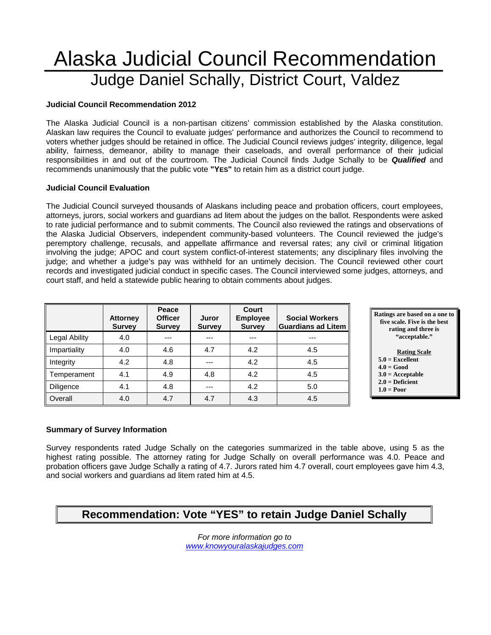# Alaska Judicial Council Recommendation Judge Daniel Schally, District Court, Valdez

#### **Judicial Council Recommendation 2012**

The Alaska Judicial Council is a non-partisan citizens' commission established by the Alaska constitution. Alaskan law requires the Council to evaluate judges' performance and authorizes the Council to recommend to voters whether judges should be retained in office. The Judicial Council reviews judges' integrity, diligence, legal ability, fairness, demeanor, ability to manage their caseloads, and overall performance of their judicial responsibilities in and out of the courtroom. The Judicial Council finds Judge Schally to be *Qualified* and recommends unanimously that the public vote **"YES"** to retain him as a district court judge.

#### **Judicial Council Evaluation**

The Judicial Council surveyed thousands of Alaskans including peace and probation officers, court employees, attorneys, jurors, social workers and guardians ad litem about the judges on the ballot. Respondents were asked to rate judicial performance and to submit comments. The Council also reviewed the ratings and observations of the Alaska Judicial Observers, independent community-based volunteers. The Council reviewed the judge's peremptory challenge, recusals, and appellate affirmance and reversal rates; any civil or criminal litigation involving the judge; APOC and court system conflict-of-interest statements; any disciplinary files involving the judge; and whether a judge's pay was withheld for an untimely decision. The Council reviewed other court records and investigated judicial conduct in specific cases. The Council interviewed some judges, attorneys, and court staff, and held a statewide public hearing to obtain comments about judges.

|                      | <b>Attorney</b><br><b>Survey</b> | Peace<br><b>Officer</b><br><b>Survey</b> | Juror<br><b>Survey</b> | Court<br><b>Employee</b><br><b>Survey</b> | <b>Social Workers</b><br><b>Guardians ad Litem</b> |
|----------------------|----------------------------------|------------------------------------------|------------------------|-------------------------------------------|----------------------------------------------------|
| <b>Legal Ability</b> | 4.0                              | ---                                      |                        | ---                                       | ---                                                |
| Impartiality         | 4.0                              | 4.6                                      | 4.7                    | 4.2                                       | 4.5                                                |
| Integrity            | 4.2                              | 4.8                                      | ---                    | 4.2                                       | 4.5                                                |
| Temperament          | 4.1                              | 4.9                                      | 4.8                    | 4.2                                       | 4.5                                                |
| <b>Diligence</b>     | 4.1                              | 4.8                                      | ---                    | 4.2                                       | 5.0                                                |
| Overall              | 4.0                              | 4.7                                      | 4.7                    | 4.3                                       | 4.5                                                |



### **5.0 = Excellent**

- **4.0 = Good**
- **3.0 = Acceptable**
- **2.0 = Deficient**
- **1.0 = Poor**

#### **Summary of Survey Information**

Survey respondents rated Judge Schally on the categories summarized in the table above, using 5 as the highest rating possible. The attorney rating for Judge Schally on overall performance was 4.0. Peace and probation officers gave Judge Schally a rating of 4.7. Jurors rated him 4.7 overall, court employees gave him 4.3, and social workers and guardians ad litem rated him at 4.5.

### **Recommendation: Vote "YES" to retain Judge Daniel Schally**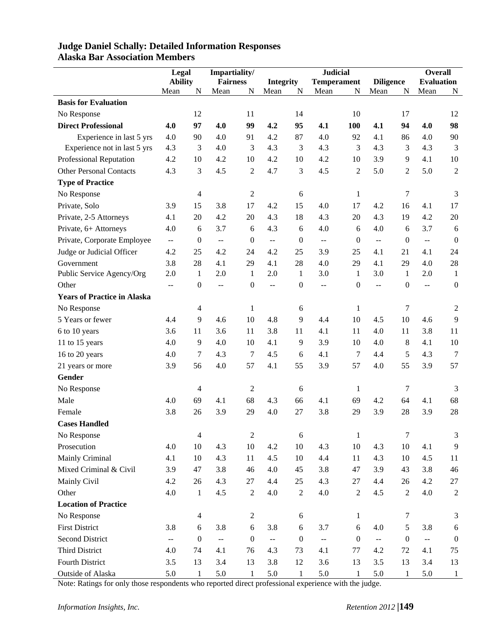|                                    | Legal                                                |                          | Impartiality/                                 |                  |                                               |                  | <b>Judicial</b>             |                  |                  |                  | Overall                                       |                  |
|------------------------------------|------------------------------------------------------|--------------------------|-----------------------------------------------|------------------|-----------------------------------------------|------------------|-----------------------------|------------------|------------------|------------------|-----------------------------------------------|------------------|
|                                    | <b>Ability</b>                                       |                          | <b>Fairness</b>                               |                  | <b>Integrity</b>                              |                  | <b>Temperament</b>          |                  | <b>Diligence</b> |                  | <b>Evaluation</b>                             |                  |
|                                    | Mean                                                 | N                        | Mean                                          | N                | Mean                                          | N                | Mean                        | ${\bf N}$        | Mean             | N                | Mean                                          | N                |
| <b>Basis for Evaluation</b>        |                                                      |                          |                                               |                  |                                               |                  |                             |                  |                  |                  |                                               |                  |
| No Response                        |                                                      | 12                       |                                               | 11               |                                               | 14               |                             | 10               |                  | 17               |                                               | 12               |
| <b>Direct Professional</b>         | 4.0                                                  | 97                       | 4.0                                           | 99               | 4.2                                           | 95               | 4.1                         | 100              | 4.1              | 94               | 4.0                                           | 98               |
| Experience in last 5 yrs           | 4.0                                                  | 90                       | 4.0                                           | 91               | 4.2                                           | 87               | 4.0                         | 92               | 4.1              | 86               | 4.0                                           | 90               |
| Experience not in last 5 yrs       | 4.3                                                  | 3                        | 4.0                                           | 3                | 4.3                                           | 3                | 4.3                         | 3                | 4.3              | 3                | 4.3                                           | 3                |
| Professional Reputation            | 4.2                                                  | 10                       | 4.2                                           | 10               | 4.2                                           | 10               | 4.2                         | 10               | 3.9              | 9                | 4.1                                           | 10               |
| <b>Other Personal Contacts</b>     | 4.3                                                  | 3                        | 4.5                                           | $\overline{2}$   | 4.7                                           | 3                | 4.5                         | $\mathfrak{2}$   | 5.0              | $\boldsymbol{2}$ | 5.0                                           | $\sqrt{2}$       |
| <b>Type of Practice</b>            |                                                      |                          |                                               |                  |                                               |                  |                             |                  |                  |                  |                                               |                  |
| No Response                        |                                                      | $\overline{\mathcal{A}}$ |                                               | $\overline{c}$   |                                               | 6                |                             | $\mathbf{1}$     |                  | 7                |                                               | 3                |
| Private, Solo                      | 3.9                                                  | 15                       | 3.8                                           | 17               | 4.2                                           | 15               | 4.0                         | 17               | 4.2              | 16               | 4.1                                           | 17               |
| Private, 2-5 Attorneys             | 4.1                                                  | $20\,$                   | 4.2                                           | 20               | 4.3                                           | 18               | 4.3                         | 20               | 4.3              | 19               | 4.2                                           | $20\,$           |
| Private, 6+ Attorneys              | 4.0                                                  | 6                        | 3.7                                           | 6                | 4.3                                           | 6                | 4.0                         | 6                | 4.0              | 6                | 3.7                                           | 6                |
| Private, Corporate Employee        | $\mathord{\hspace{1pt}\text{--}\hspace{1pt}}$        | $\boldsymbol{0}$         | $\mathord{\hspace{1pt}\text{--}\hspace{1pt}}$ | $\boldsymbol{0}$ | $\mathord{\hspace{1pt}\text{--}\hspace{1pt}}$ | $\boldsymbol{0}$ | $-$                         | $\mathbf{0}$     | $\overline{a}$   | $\boldsymbol{0}$ | $\mathord{\hspace{1pt}\text{--}\hspace{1pt}}$ | $\boldsymbol{0}$ |
| Judge or Judicial Officer          | 4.2                                                  | 25                       | 4.2                                           | 24               | 4.2                                           | 25               | 3.9                         | 25               | 4.1              | 21               | 4.1                                           | 24               |
| Government                         | 3.8                                                  | 28                       | 4.1                                           | 29               | 4.1                                           | 28               | 4.0                         | 29               | 4.1              | 29               | 4.0                                           | 28               |
| Public Service Agency/Org          | 2.0                                                  | $\mathbf{1}$             | 2.0                                           | 1                | 2.0                                           | 1                | 3.0                         | -1               | 3.0              | $\mathbf{1}$     | 2.0                                           | $\mathbf{1}$     |
| Other                              | $\overline{\phantom{a}}$                             | $\boldsymbol{0}$         | $\overline{a}$                                | $\boldsymbol{0}$ | $\overline{a}$                                | $\boldsymbol{0}$ | --                          | $\boldsymbol{0}$ | 44               | $\boldsymbol{0}$ | ÷-                                            | $\boldsymbol{0}$ |
| <b>Years of Practice in Alaska</b> |                                                      |                          |                                               |                  |                                               |                  |                             |                  |                  |                  |                                               |                  |
| No Response                        |                                                      | 4                        |                                               | $\mathbf{1}$     |                                               | 6                |                             | 1                |                  | 7                |                                               | 2                |
| 5 Years or fewer                   | 4.4                                                  | $\overline{9}$           | 4.6                                           | 10               | 4.8                                           | 9                | 4.4                         | 10               | 4.5              | 10               | 4.6                                           | 9                |
| 6 to 10 years                      | 3.6                                                  | 11                       | 3.6                                           | 11               | 3.8                                           | 11               | 4.1                         | 11               | 4.0              | 11               | 3.8                                           | 11               |
| 11 to 15 years                     | 4.0                                                  | 9                        | 4.0                                           | 10               | 4.1                                           | 9                | 3.9                         | 10               | 4.0              | 8                | 4.1                                           | 10               |
| 16 to 20 years                     | 4.0                                                  | 7                        | 4.3                                           | 7                | 4.5                                           | 6                | 4.1                         | $\tau$           | 4.4              | 5                | 4.3                                           | $\overline{7}$   |
| 21 years or more                   | 3.9                                                  | 56                       | 4.0                                           | 57               | 4.1                                           | 55               | 3.9                         | 57               | 4.0              | 55               | 3.9                                           | 57               |
| Gender                             |                                                      |                          |                                               |                  |                                               |                  |                             |                  |                  |                  |                                               |                  |
| No Response                        |                                                      | 4                        |                                               | $\overline{2}$   |                                               | 6                |                             | 1                |                  | 7                |                                               | 3                |
| Male                               | 4.0                                                  | 69                       | 4.1                                           | 68               | 4.3                                           | 66               | 4.1                         | 69               | 4.2              | 64               | 4.1                                           | 68               |
| Female                             | 3.8                                                  | 26                       | 3.9                                           | 29               | 4.0                                           | 27               | 3.8                         | 29               | 3.9              | 28               | 3.9                                           | 28               |
| <b>Cases Handled</b>               |                                                      |                          |                                               |                  |                                               |                  |                             |                  |                  |                  |                                               |                  |
| No Response                        |                                                      | $\overline{4}$           |                                               | $\sqrt{2}$       |                                               | $\sqrt{6}$       |                             | $\mathbf{1}$     |                  | $\overline{7}$   |                                               | 3                |
| Prosecution                        | 4.0                                                  | $10\,$                   | 4.3                                           | 10               | 4.2                                           | 10               | 4.3                         | $10\,$           | 4.3              | 10               | 4.1                                           | 9                |
| Mainly Criminal                    | 4.1                                                  | $10\,$                   | 4.3                                           | 11               | 4.5                                           | 10               | 4.4                         | 11               | 4.3              | 10               | 4.5                                           | 11               |
| Mixed Criminal & Civil             | 3.9                                                  | 47                       | 3.8                                           | 46               | 4.0                                           | 45               | 3.8                         | 47               | 3.9              | 43               | 3.8                                           | 46               |
| Mainly Civil                       | 4.2                                                  | 26                       | 4.3                                           | $27\,$           | 4.4                                           | 25               | 4.3                         | 27               | 4.4              | 26               | 4.2                                           | 27               |
| Other                              | 4.0                                                  | $\mathbf{1}$             | 4.5                                           | $\sqrt{2}$       | 4.0                                           | $\overline{2}$   | 4.0                         | $\overline{2}$   | 4.5              | $\overline{2}$   | 4.0                                           | $\boldsymbol{2}$ |
| <b>Location of Practice</b>        |                                                      |                          |                                               |                  |                                               |                  |                             |                  |                  |                  |                                               |                  |
| No Response                        |                                                      | $\overline{4}$           |                                               | $\overline{c}$   |                                               | $6\,$            |                             | $\mathbf{1}$     |                  | 7                |                                               | 3                |
| <b>First District</b>              | 3.8                                                  | $\sqrt{6}$               | 3.8                                           | 6                | 3.8                                           | 6                | 3.7                         | 6                | 4.0              | 5                | 3.8                                           | $\sqrt{6}$       |
| <b>Second District</b>             |                                                      | $\boldsymbol{0}$         |                                               | $\boldsymbol{0}$ |                                               | $\boldsymbol{0}$ |                             | $\boldsymbol{0}$ |                  | $\boldsymbol{0}$ |                                               | $\boldsymbol{0}$ |
| Third District                     | $\mathord{\hspace{1pt}\text{--}\hspace{1pt}}$<br>4.0 |                          | $\overline{\phantom{a}}$<br>4.1               |                  | $\overline{\phantom{a}}$                      | 73               | $\mathbb{L}^{\perp}$<br>4.1 | 77               | Ξ.<br>4.2        | 72               | $\overline{\phantom{a}}$                      |                  |
|                                    |                                                      | 74                       |                                               | 76               | 4.3                                           |                  |                             |                  |                  |                  | 4.1                                           | 75               |
| Fourth District                    | 3.5                                                  | 13                       | 3.4                                           | 13               | 3.8                                           | 12               | 3.6                         | 13               | 3.5              | 13               | 3.4                                           | 13               |
| Outside of Alaska                  | 5.0                                                  | $\mathbf{1}$             | 5.0                                           | $\mathbf{1}$     | 5.0                                           | $\mathbf{1}$     | 5.0                         | $\mathbf{1}$     | 5.0              | $\mathbf{1}$     | 5.0                                           | $\mathbf{1}$     |

### **Judge Daniel Schally: Detailed Information Responses Alaska Bar Association Members**

Note: Ratings for only those respondents who reported direct professional experience with the judge.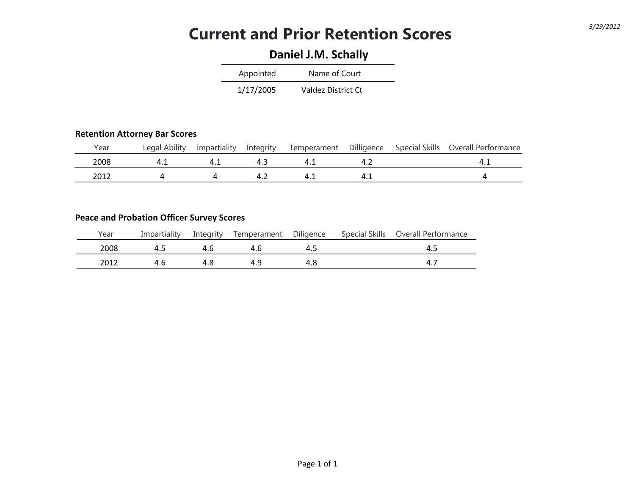## **Current and Prior Retention Scores** *3/29/2012*

### **Daniel J.M. Schally**

| Appointed | Name of Court      |
|-----------|--------------------|
| 1/17/2005 | Valdez District Ct |

#### **Retention Attorney Bar Scores**

| Year | Legal Ability | Impartiality | Intearity | Temperament | Dilligence | Special Skills | Overall Performance |
|------|---------------|--------------|-----------|-------------|------------|----------------|---------------------|
| 2008 |               |              |           |             |            |                |                     |
| 2012 |               |              |           |             |            |                |                     |

### **Peace and Probation Officer Survey Scores**

| Year | Impartiality | Integrity | Temperament | Diligence | Special Skills | Overall Performance |
|------|--------------|-----------|-------------|-----------|----------------|---------------------|
| 2008 |              | 4.6       | 4.6         | 4.5       |                | -4.                 |
| 2012 | 4.6          |           | 21 Q        | 4.8       |                |                     |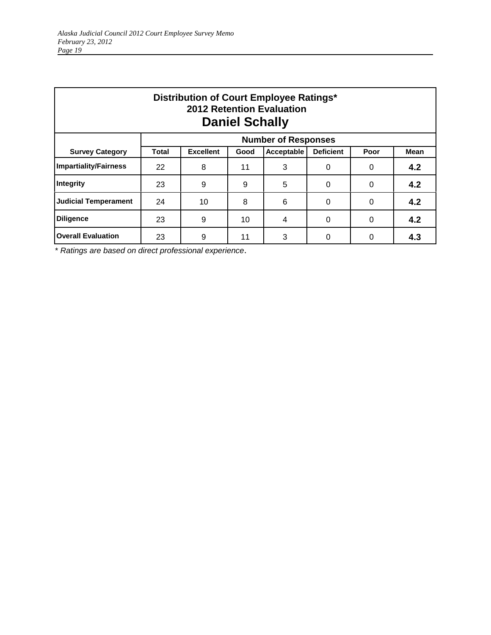| Distribution of Court Employee Ratings*<br><b>2012 Retention Evaluation</b><br><b>Daniel Schally</b> |                            |                  |      |            |                  |          |             |  |  |  |
|------------------------------------------------------------------------------------------------------|----------------------------|------------------|------|------------|------------------|----------|-------------|--|--|--|
|                                                                                                      | <b>Number of Responses</b> |                  |      |            |                  |          |             |  |  |  |
| <b>Survey Category</b>                                                                               | <b>Total</b>               | <b>Excellent</b> | Good | Acceptable | <b>Deficient</b> | Poor     | <b>Mean</b> |  |  |  |
| <b>Impartiality/Fairness</b>                                                                         | 22                         | 8                | 11   | 3          | $\Omega$         | 0        | 4.2         |  |  |  |
| Integrity                                                                                            | 23                         | 9                | 9    | 5          | 0                | 0        | 4.2         |  |  |  |
| <b>Judicial Temperament</b>                                                                          | 24                         | 10               | 8    | 6          | $\Omega$         | 0        | 4.2         |  |  |  |
| <b>Diligence</b>                                                                                     | 23                         | 9                | 10   | 4          | $\Omega$         | $\Omega$ | 4.2         |  |  |  |
| <b>Overall Evaluation</b>                                                                            | 23                         | 9                | 11   | 3          | $\Omega$         | 0        | 4.3         |  |  |  |

\* *Ratings are based on direct professional experience*.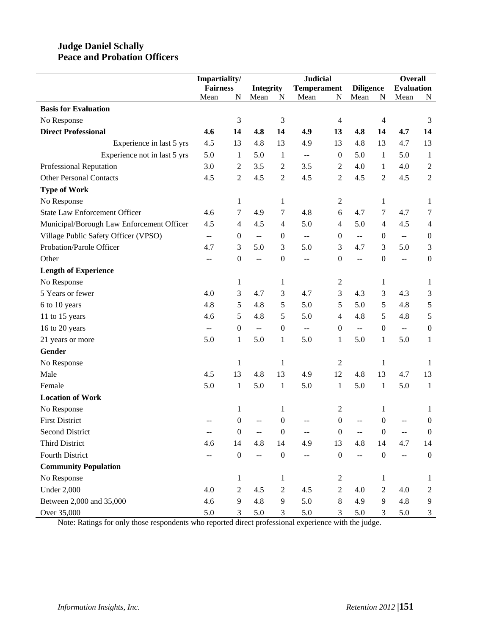### **Judge Daniel Schally Peace and Probation Officers**

|                                           |                 | Impartiality/    |                                                     |                  | <b>Judicial</b>                               |                  |                          |                  | <b>Overall</b>           |                  |
|-------------------------------------------|-----------------|------------------|-----------------------------------------------------|------------------|-----------------------------------------------|------------------|--------------------------|------------------|--------------------------|------------------|
|                                           | <b>Fairness</b> |                  | <b>Integrity</b>                                    |                  | <b>Temperament</b>                            |                  | <b>Diligence</b>         |                  | <b>Evaluation</b>        |                  |
|                                           | Mean            | N                | Mean                                                | N                | Mean                                          | N                | Mean                     | N                | Mean                     | N                |
| <b>Basis for Evaluation</b>               |                 |                  |                                                     |                  |                                               |                  |                          |                  |                          |                  |
| No Response                               |                 | 3                |                                                     | 3                |                                               | $\overline{4}$   |                          | 4                |                          | 3                |
| <b>Direct Professional</b>                | 4.6             | 14               | 4.8                                                 | 14               | 4.9                                           | 13               | 4.8                      | 14               | 4.7                      | 14               |
| Experience in last 5 yrs                  | 4.5             | 13               | 4.8                                                 | 13               | 4.9                                           | 13               | 4.8                      | 13               | 4.7                      | 13               |
| Experience not in last 5 yrs              | 5.0             | 1                | 5.0                                                 | $\mathbf{1}$     | $\mathcal{L} = \mathcal{L}$                   | $\mathbf{0}$     | 5.0                      | 1                | 5.0                      | $\mathbf{1}$     |
| Professional Reputation                   | 3.0             | $\overline{c}$   | 3.5                                                 | $\boldsymbol{2}$ | 3.5                                           | 2                | 4.0                      | 1                | 4.0                      | $\sqrt{2}$       |
| <b>Other Personal Contacts</b>            | 4.5             | $\overline{2}$   | 4.5                                                 | $\sqrt{2}$       | 4.5                                           | $\mathbf{2}$     | 4.5                      | $\overline{c}$   | 4.5                      | $\sqrt{2}$       |
| <b>Type of Work</b>                       |                 |                  |                                                     |                  |                                               |                  |                          |                  |                          |                  |
| No Response                               |                 | 1                |                                                     | 1                |                                               | 2                |                          | 1                |                          | $\mathbf{1}$     |
| <b>State Law Enforcement Officer</b>      | 4.6             | 7                | 4.9                                                 | 7                | 4.8                                           | 6                | 4.7                      | 7                | 4.7                      | 7                |
| Municipal/Borough Law Enforcement Officer | 4.5             | 4                | 4.5                                                 | $\overline{4}$   | 5.0                                           | 4                | 5.0                      | $\overline{4}$   | 4.5                      | $\overline{4}$   |
| Village Public Safety Officer (VPSO)      | $- -$           | $\boldsymbol{0}$ | $\hspace{0.05cm} -\hspace{0.05cm} -\hspace{0.05cm}$ | $\boldsymbol{0}$ | $\mathord{\hspace{1pt}\text{--}\hspace{1pt}}$ | $\boldsymbol{0}$ | $\overline{\phantom{m}}$ | $\boldsymbol{0}$ | $\overline{\phantom{m}}$ | $\boldsymbol{0}$ |
| Probation/Parole Officer                  | 4.7             | 3                | 5.0                                                 | $\mathfrak{Z}$   | 5.0                                           | 3                | 4.7                      | 3                | 5.0                      | $\mathfrak{Z}$   |
| Other                                     | --              | $\boldsymbol{0}$ | $-$                                                 | $\boldsymbol{0}$ | $-$                                           | $\mathbf{0}$     | $\overline{a}$           | $\boldsymbol{0}$ | $\overline{\phantom{a}}$ | $\boldsymbol{0}$ |
| <b>Length of Experience</b>               |                 |                  |                                                     |                  |                                               |                  |                          |                  |                          |                  |
| No Response                               |                 | 1                |                                                     | 1                |                                               | 2                |                          | 1                |                          | 1                |
| 5 Years or fewer                          | 4.0             | 3                | 4.7                                                 | $\mathfrak{Z}$   | 4.7                                           | 3                | 4.3                      | 3                | 4.3                      | $\mathfrak{Z}$   |
| 6 to 10 years                             | 4.8             | 5                | 4.8                                                 | $\sqrt{5}$       | 5.0                                           | 5                | 5.0                      | 5                | 4.8                      | $\sqrt{5}$       |
| 11 to 15 years                            | 4.6             | 5                | 4.8                                                 | 5                | 5.0                                           | $\overline{4}$   | 4.8                      | 5                | 4.8                      | $\sqrt{5}$       |
| 16 to 20 years                            | $-$             | $\boldsymbol{0}$ | $\mathord{\hspace{1pt}\text{--}\hspace{1pt}}$       | $\boldsymbol{0}$ | $\overline{\phantom{m}}$                      | $\mathbf{0}$     | $\overline{\phantom{a}}$ | $\boldsymbol{0}$ | $\overline{a}$           | $\boldsymbol{0}$ |
| 21 years or more                          | 5.0             | $\mathbf{1}$     | 5.0                                                 | $\mathbf{1}$     | 5.0                                           | 1                | 5.0                      | $\mathbf{1}$     | 5.0                      | $\mathbf{1}$     |
| Gender                                    |                 |                  |                                                     |                  |                                               |                  |                          |                  |                          |                  |
| No Response                               |                 | 1                |                                                     | $\mathbf{1}$     |                                               | 2                |                          | 1                |                          | 1                |
| Male                                      | 4.5             | 13               | 4.8                                                 | 13               | 4.9                                           | 12               | 4.8                      | 13               | 4.7                      | 13               |
| Female                                    | 5.0             | $\mathbf{1}$     | 5.0                                                 | $\mathbf{1}$     | 5.0                                           | 1                | 5.0                      | $\mathbf{1}$     | 5.0                      | $\mathbf{1}$     |
| <b>Location of Work</b>                   |                 |                  |                                                     |                  |                                               |                  |                          |                  |                          |                  |
| No Response                               |                 | 1                |                                                     | $\mathbf{1}$     |                                               | $\overline{2}$   |                          | 1                |                          | 1                |
| <b>First District</b>                     |                 | 0                |                                                     | $\boldsymbol{0}$ |                                               | $\boldsymbol{0}$ |                          | $\boldsymbol{0}$ |                          | $\boldsymbol{0}$ |
| <b>Second District</b>                    |                 | $\boldsymbol{0}$ |                                                     | $\boldsymbol{0}$ |                                               | $\boldsymbol{0}$ |                          | $\boldsymbol{0}$ |                          | $\boldsymbol{0}$ |
| Third District                            | 4.6             | 14               | 4.8                                                 | 14               | 4.9                                           | 13               | 4.8                      | 14               | 4.7                      | 14               |
| <b>Fourth District</b>                    |                 | $\boldsymbol{0}$ | Ц.                                                  | $\boldsymbol{0}$ | --                                            | $\boldsymbol{0}$ | $\overline{a}$           | $\boldsymbol{0}$ | $\overline{a}$           | $\boldsymbol{0}$ |
| <b>Community Population</b>               |                 |                  |                                                     |                  |                                               |                  |                          |                  |                          |                  |
| No Response                               |                 | $\mathbf{1}$     |                                                     | $\mathbf{1}$     |                                               | 2                |                          | 1                |                          | 1                |
| <b>Under 2,000</b>                        | 4.0             | $\overline{c}$   | 4.5                                                 | $\boldsymbol{2}$ | 4.5                                           | $\overline{2}$   | 4.0                      | $\overline{2}$   | 4.0                      | $\mathbf{2}$     |
| Between 2,000 and 35,000                  | 4.6             | 9                | 4.8                                                 | 9                | 5.0                                           | 8                | 4.9                      | 9                | 4.8                      | 9                |
| Over 35,000                               | 5.0             | 3                | 5.0                                                 | $\mathfrak{Z}$   | 5.0                                           | 3                | 5.0                      | 3                | 5.0                      | 3                |

Note: Ratings for only those respondents who reported direct professional experience with the judge.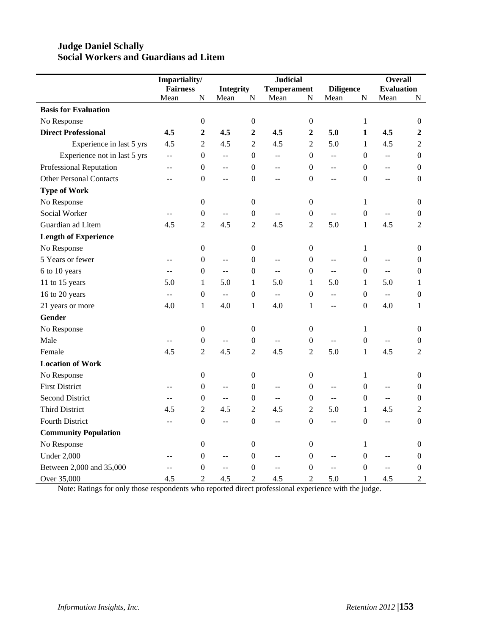### **Judge Daniel Schally Social Workers and Guardians ad Litem**

|                                | Impartiality/   |                  |                           |                  | <b>Judicial</b>                               |                  |                         |                  | <b>Overall</b>            |                  |
|--------------------------------|-----------------|------------------|---------------------------|------------------|-----------------------------------------------|------------------|-------------------------|------------------|---------------------------|------------------|
|                                | <b>Fairness</b> |                  | <b>Integrity</b>          |                  | <b>Temperament</b>                            |                  | <b>Diligence</b>        |                  | <b>Evaluation</b>         |                  |
|                                | Mean            | N                | Mean                      | ${\bf N}$        | Mean                                          | N                | Mean                    | ${\bf N}$        | Mean                      | ${\bf N}$        |
| <b>Basis for Evaluation</b>    |                 |                  |                           |                  |                                               |                  |                         |                  |                           |                  |
| No Response                    |                 | $\boldsymbol{0}$ |                           | $\boldsymbol{0}$ |                                               | $\boldsymbol{0}$ |                         | $\mathbf{1}$     |                           | $\boldsymbol{0}$ |
| <b>Direct Professional</b>     | 4.5             | $\overline{2}$   | 4.5                       | $\overline{2}$   | 4.5                                           | $\boldsymbol{2}$ | 5.0                     | $\mathbf{1}$     | 4.5                       | $\overline{2}$   |
| Experience in last 5 yrs       | 4.5             | $\overline{2}$   | 4.5                       | $\overline{2}$   | 4.5                                           | $\overline{2}$   | 5.0                     | $\mathbf{1}$     | 4.5                       | $\overline{2}$   |
| Experience not in last 5 yrs   | $\overline{a}$  | $\boldsymbol{0}$ | $-$                       | $\boldsymbol{0}$ | $-$                                           | $\boldsymbol{0}$ | $\overline{a}$          | $\boldsymbol{0}$ | $\mathbb{L}^{\mathbb{L}}$ | $\boldsymbol{0}$ |
| Professional Reputation        | $-$             | $\boldsymbol{0}$ | $-$                       | $\boldsymbol{0}$ | $- -$                                         | $\boldsymbol{0}$ | $-$                     | $\overline{0}$   | $-$                       | $\boldsymbol{0}$ |
| <b>Other Personal Contacts</b> | $\overline{a}$  | $\boldsymbol{0}$ | $\overline{\phantom{a}}$  | $\boldsymbol{0}$ | $-$                                           | $\Omega$         | $-$                     | $\Omega$         | $\overline{a}$            | $\boldsymbol{0}$ |
| <b>Type of Work</b>            |                 |                  |                           |                  |                                               |                  |                         |                  |                           |                  |
| No Response                    |                 | $\boldsymbol{0}$ |                           | $\boldsymbol{0}$ |                                               | $\theta$         |                         | 1                |                           | $\overline{0}$   |
| Social Worker                  | $\overline{a}$  | $\boldsymbol{0}$ | --                        | $\boldsymbol{0}$ | $\overline{\phantom{a}}$                      | $\mathbf{0}$     | $\overline{a}$          | $\boldsymbol{0}$ | $\mathcal{L} \mathcal{L}$ | $\boldsymbol{0}$ |
| Guardian ad Litem              | 4.5             | $\overline{2}$   | 4.5                       | $\overline{2}$   | 4.5                                           | $\overline{2}$   | 5.0                     | $\mathbf{1}$     | 4.5                       | $\overline{2}$   |
| <b>Length of Experience</b>    |                 |                  |                           |                  |                                               |                  |                         |                  |                           |                  |
| No Response                    |                 | $\boldsymbol{0}$ |                           | $\boldsymbol{0}$ |                                               | $\boldsymbol{0}$ |                         | $\mathbf{1}$     |                           | $\boldsymbol{0}$ |
| 5 Years or fewer               | $-$             | $\boldsymbol{0}$ | $\overline{a}$            | $\boldsymbol{0}$ | $\overline{a}$                                | $\boldsymbol{0}$ | $\overline{a}$          | $\boldsymbol{0}$ | $\overline{a}$            | $\boldsymbol{0}$ |
| 6 to 10 years                  | $-$             | $\boldsymbol{0}$ | $\overline{a}$            | $\boldsymbol{0}$ | $\overline{a}$                                | $\boldsymbol{0}$ | $\overline{a}$          | $\Omega$         | $\overline{a}$            | $\boldsymbol{0}$ |
| 11 to 15 years                 | 5.0             | $\mathbf{1}$     | 5.0                       | $\mathbf{1}$     | 5.0                                           | 1                | 5.0                     | 1                | 5.0                       | 1                |
| 16 to 20 years                 | $\overline{a}$  | $\boldsymbol{0}$ | $\mathbb{L}^{\mathbb{L}}$ | $\boldsymbol{0}$ | $\mathbb{L}^{\mathbb{L}}$                     | $\mathbf{0}$     | $\overline{a}$          | $\mathbf{0}$     | $\mathbb{L}^{\mathbb{L}}$ | $\boldsymbol{0}$ |
| 21 years or more               | 4.0             | $\mathbf{1}$     | 4.0                       | $\mathbf{1}$     | 4.0                                           | 1                | $\overline{a}$          | $\mathbf{0}$     | 4.0                       | 1                |
| <b>Gender</b>                  |                 |                  |                           |                  |                                               |                  |                         |                  |                           |                  |
| No Response                    |                 | $\boldsymbol{0}$ |                           | $\boldsymbol{0}$ |                                               | $\boldsymbol{0}$ |                         | 1                |                           | 0                |
| Male                           | $-$             | $\boldsymbol{0}$ | $\overline{a}$            | $\boldsymbol{0}$ | $\overline{a}$                                | $\boldsymbol{0}$ | $\overline{a}$          | $\boldsymbol{0}$ | $\mathbf{u}$              | $\boldsymbol{0}$ |
| Female                         | 4.5             | $\overline{2}$   | 4.5                       | $\overline{2}$   | 4.5                                           | 2                | 5.0                     | $\mathbf{1}$     | 4.5                       | $\overline{2}$   |
| <b>Location of Work</b>        |                 |                  |                           |                  |                                               |                  |                         |                  |                           |                  |
| No Response                    |                 | $\boldsymbol{0}$ |                           | $\boldsymbol{0}$ |                                               | $\boldsymbol{0}$ |                         | $\mathbf{1}$     |                           | $\boldsymbol{0}$ |
| <b>First District</b>          | $\sim$          | $\boldsymbol{0}$ | --                        | $\boldsymbol{0}$ | $\overline{a}$                                | $\mathbf{0}$     | $\overline{a}$          | $\overline{0}$   | $\overline{a}$            | $\boldsymbol{0}$ |
| <b>Second District</b>         | --              | $\boldsymbol{0}$ | $\overline{a}$            | $\boldsymbol{0}$ | $\mathbb{L}^{\mathbb{L}}$                     | $\mathbf{0}$     | $\mathbb{L} \mathbb{L}$ | $\overline{0}$   | $\mathbb{L} \mathbb{L}$   | $\boldsymbol{0}$ |
| <b>Third District</b>          | 4.5             | $\overline{2}$   | 4.5                       | $\overline{2}$   | 4.5                                           | $\overline{2}$   | 5.0                     | $\mathbf{1}$     | 4.5                       | $\overline{2}$   |
| <b>Fourth District</b>         | $-$             | $\boldsymbol{0}$ | $\overline{a}$            | $\boldsymbol{0}$ | $\mathord{\hspace{1pt}\text{--}\hspace{1pt}}$ | $\mathbf{0}$     | $\overline{a}$          | $\boldsymbol{0}$ | $\overline{\phantom{a}}$  | $\mathbf{0}$     |
| <b>Community Population</b>    |                 |                  |                           |                  |                                               |                  |                         |                  |                           |                  |
| No Response                    |                 | $\boldsymbol{0}$ |                           | $\boldsymbol{0}$ |                                               | $\boldsymbol{0}$ |                         | 1                |                           | $\boldsymbol{0}$ |
| <b>Under 2,000</b>             | --              | $\boldsymbol{0}$ | $\overline{a}$            | $\boldsymbol{0}$ | $\overline{a}$                                | $\theta$         | $\overline{a}$          | $\overline{0}$   | $\mathbb{L}^{\mathbb{L}}$ | $\boldsymbol{0}$ |
| Between 2,000 and 35,000       | $\overline{a}$  | $\boldsymbol{0}$ | $\overline{a}$            | $\boldsymbol{0}$ | $\mathbf{u}$                                  | $\theta$         | $\overline{a}$          | $\overline{0}$   | $\overline{a}$            | $\boldsymbol{0}$ |
| Over 35,000                    | 4.5             | $\overline{2}$   | 4.5                       | $\overline{2}$   | 4.5                                           | $\overline{2}$   | 5.0                     | 1                | 4.5                       | $\sqrt{2}$       |

Note: Ratings for only those respondents who reported direct professional experience with the judge.